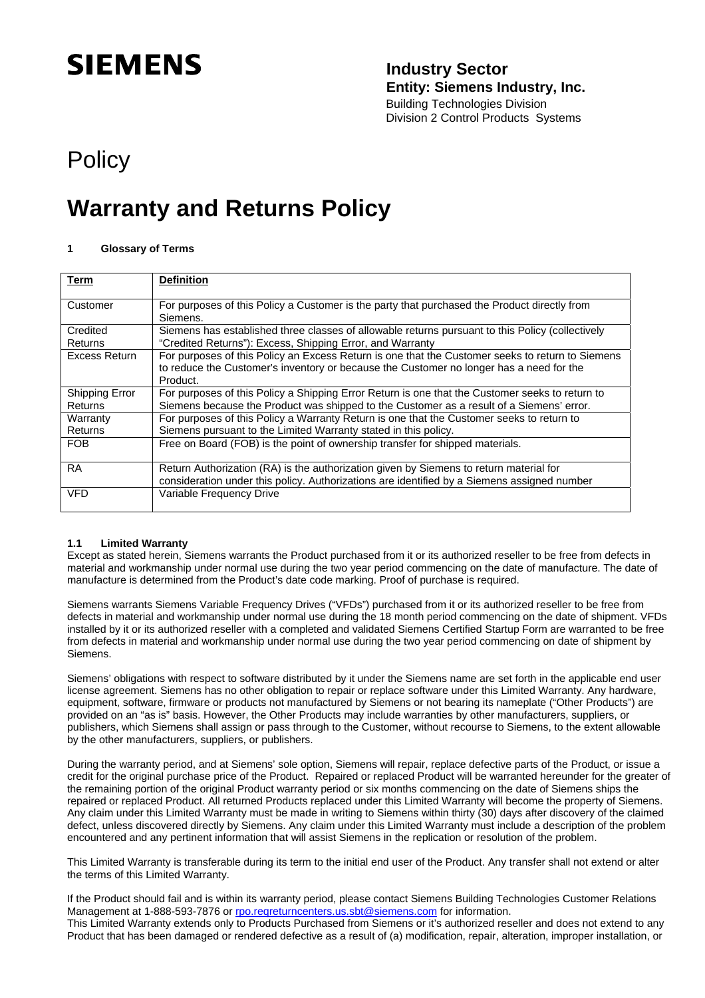# **SIEMENS**

### **Industry Sector Entity: Siemens Industry, Inc.**

Building Technologies Division Division 2 Control Products Systems

## **Policy**

## **Warranty and Returns Policy**

#### **1 Glossary of Terms**

| <b>Term</b>                | <b>Definition</b>                                                                                                                                                                                       |
|----------------------------|---------------------------------------------------------------------------------------------------------------------------------------------------------------------------------------------------------|
| Customer                   | For purposes of this Policy a Customer is the party that purchased the Product directly from<br>Siemens.                                                                                                |
| Credited<br><b>Returns</b> | Siemens has established three classes of allowable returns pursuant to this Policy (collectively<br>"Credited Returns"): Excess, Shipping Error, and Warranty                                           |
| Excess Return              | For purposes of this Policy an Excess Return is one that the Customer seeks to return to Siemens<br>to reduce the Customer's inventory or because the Customer no longer has a need for the<br>Product. |
| Shipping Error<br>Returns  | For purposes of this Policy a Shipping Error Return is one that the Customer seeks to return to<br>Siemens because the Product was shipped to the Customer as a result of a Siemens' error.             |
| Warranty<br>Returns        | For purposes of this Policy a Warranty Return is one that the Customer seeks to return to<br>Siemens pursuant to the Limited Warranty stated in this policy.                                            |
| <b>FOB</b>                 | Free on Board (FOB) is the point of ownership transfer for shipped materials.                                                                                                                           |
| <b>RA</b>                  | Return Authorization (RA) is the authorization given by Siemens to return material for<br>consideration under this policy. Authorizations are identified by a Siemens assigned number                   |
| VFD                        | Variable Frequency Drive                                                                                                                                                                                |

#### **1.1 Limited Warranty**

Except as stated herein, Siemens warrants the Product purchased from it or its authorized reseller to be free from defects in material and workmanship under normal use during the two year period commencing on the date of manufacture. The date of manufacture is determined from the Product's date code marking. Proof of purchase is required.

Siemens warrants Siemens Variable Frequency Drives ("VFDs") purchased from it or its authorized reseller to be free from defects in material and workmanship under normal use during the 18 month period commencing on the date of shipment. VFDs installed by it or its authorized reseller with a completed and validated Siemens Certified Startup Form are warranted to be free from defects in material and workmanship under normal use during the two year period commencing on date of shipment by Siemens.

Siemens' obligations with respect to software distributed by it under the Siemens name are set forth in the applicable end user license agreement. Siemens has no other obligation to repair or replace software under this Limited Warranty. Any hardware, equipment, software, firmware or products not manufactured by Siemens or not bearing its nameplate ("Other Products") are provided on an "as is" basis. However, the Other Products may include warranties by other manufacturers, suppliers, or publishers, which Siemens shall assign or pass through to the Customer, without recourse to Siemens, to the extent allowable by the other manufacturers, suppliers, or publishers.

During the warranty period, and at Siemens' sole option, Siemens will repair, replace defective parts of the Product, or issue a credit for the original purchase price of the Product. Repaired or replaced Product will be warranted hereunder for the greater of the remaining portion of the original Product warranty period or six months commencing on the date of Siemens ships the repaired or replaced Product. All returned Products replaced under this Limited Warranty will become the property of Siemens. Any claim under this Limited Warranty must be made in writing to Siemens within thirty (30) days after discovery of the claimed defect, unless discovered directly by Siemens. Any claim under this Limited Warranty must include a description of the problem encountered and any pertinent information that will assist Siemens in the replication or resolution of the problem.

This Limited Warranty is transferable during its term to the initial end user of the Product. Any transfer shall not extend or alter the terms of this Limited Warranty.

If the Product should fail and is within its warranty period, please contact Siemens Building Technologies Customer Relations Management at 1-888-593-7876 or [rpo.reqreturncenters.us.sbt@siemens.com](mailto:rpo.reqreturncenters.us.sbt@siemens.com) for information. This Limited Warranty extends only to Products Purchased from Siemens or it's authorized reseller and does not extend to any Product that has been damaged or rendered defective as a result of (a) modification, repair, alteration, improper installation, or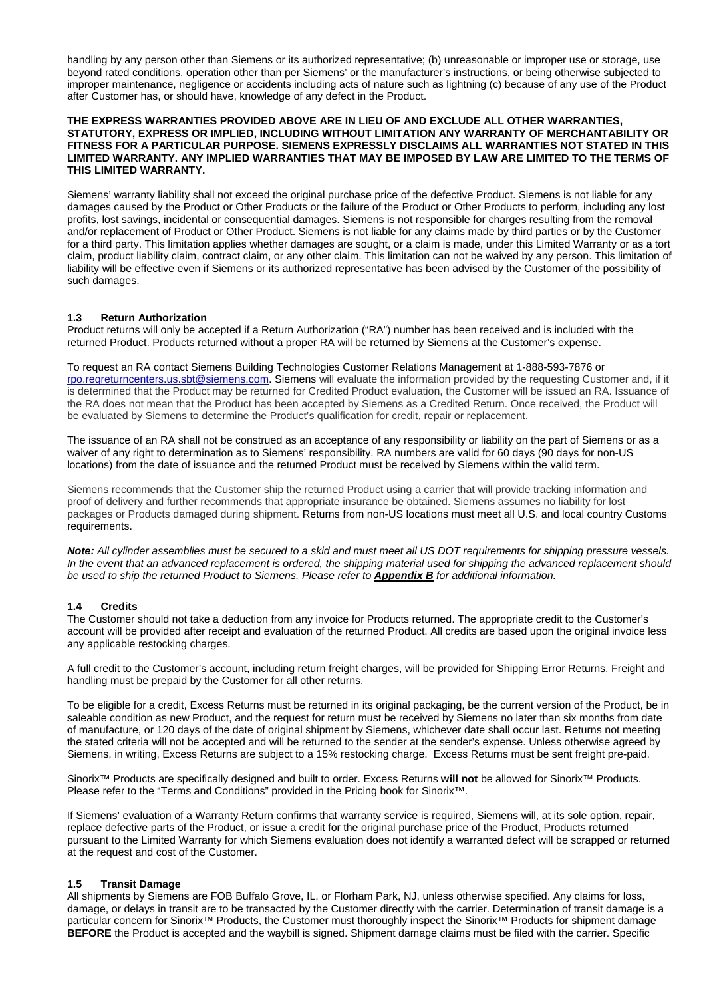handling by any person other than Siemens or its authorized representative; (b) unreasonable or improper use or storage, use beyond rated conditions, operation other than per Siemens' or the manufacturer's instructions, or being otherwise subjected to improper maintenance, negligence or accidents including acts of nature such as lightning (c) because of any use of the Product after Customer has, or should have, knowledge of any defect in the Product.

#### **THE EXPRESS WARRANTIES PROVIDED ABOVE ARE IN LIEU OF AND EXCLUDE ALL OTHER WARRANTIES, STATUTORY, EXPRESS OR IMPLIED, INCLUDING WITHOUT LIMITATION ANY WARRANTY OF MERCHANTABILITY OR FITNESS FOR A PARTICULAR PURPOSE. SIEMENS EXPRESSLY DISCLAIMS ALL WARRANTIES NOT STATED IN THIS LIMITED WARRANTY. ANY IMPLIED WARRANTIES THAT MAY BE IMPOSED BY LAW ARE LIMITED TO THE TERMS OF THIS LIMITED WARRANTY.**

Siemens' warranty liability shall not exceed the original purchase price of the defective Product. Siemens is not liable for any damages caused by the Product or Other Products or the failure of the Product or Other Products to perform, including any lost profits, lost savings, incidental or consequential damages. Siemens is not responsible for charges resulting from the removal and/or replacement of Product or Other Product. Siemens is not liable for any claims made by third parties or by the Customer for a third party. This limitation applies whether damages are sought, or a claim is made, under this Limited Warranty or as a tort claim, product liability claim, contract claim, or any other claim. This limitation can not be waived by any person. This limitation of liability will be effective even if Siemens or its authorized representative has been advised by the Customer of the possibility of such damages.

#### **1.3 Return Authorization**

Product returns will only be accepted if a Return Authorization ("RA") number has been received and is included with the returned Product. Products returned without a proper RA will be returned by Siemens at the Customer's expense.

To request an RA contact Siemens Building Technologies Customer Relations Management at 1-888-593-7876 or [rpo.reqreturncenters.us.sbt@siemens.com.](mailto:rpo.reqreturncenters.us.sbt@siemens.com) Siemens will evaluate the information provided by the requesting Customer and, if it is determined that the Product may be returned for Credited Product evaluation, the Customer will be issued an RA. Issuance of the RA does not mean that the Product has been accepted by Siemens as a Credited Return. Once received, the Product will be evaluated by Siemens to determine the Product's qualification for credit, repair or replacement.

The issuance of an RA shall not be construed as an acceptance of any responsibility or liability on the part of Siemens or as a waiver of any right to determination as to Siemens' responsibility. RA numbers are valid for 60 days (90 days for non-US locations) from the date of issuance and the returned Product must be received by Siemens within the valid term.

Siemens recommends that the Customer ship the returned Product using a carrier that will provide tracking information and proof of delivery and further recommends that appropriate insurance be obtained. Siemens assumes no liability for lost packages or Products damaged during shipment. Returns from non-US locations must meet all U.S. and local country Customs requirements.

*Note: All cylinder assemblies must be secured to a skid and must meet all US DOT requirements for shipping pressure vessels. In the event that an advanced replacement is ordered, the shipping material used for shipping the advanced replacement should be used to ship the returned Product to Siemens. Please refer to Appendix B for additional information.* 

#### **1.4 Credits**

The Customer should not take a deduction from any invoice for Products returned. The appropriate credit to the Customer's account will be provided after receipt and evaluation of the returned Product. All credits are based upon the original invoice less any applicable restocking charges.

A full credit to the Customer's account, including return freight charges, will be provided for Shipping Error Returns. Freight and handling must be prepaid by the Customer for all other returns.

To be eligible for a credit, Excess Returns must be returned in its original packaging, be the current version of the Product, be in saleable condition as new Product, and the request for return must be received by Siemens no later than six months from date of manufacture, or 120 days of the date of original shipment by Siemens, whichever date shall occur last. Returns not meeting the stated criteria will not be accepted and will be returned to the sender at the sender's expense. Unless otherwise agreed by Siemens, in writing, Excess Returns are subject to a 15% restocking charge. Excess Returns must be sent freight pre-paid.

Sinorix™ Products are specifically designed and built to order. Excess Returns **will not** be allowed for Sinorix™ Products. Please refer to the "Terms and Conditions" provided in the Pricing book for Sinorix<sup>™</sup>.

If Siemens' evaluation of a Warranty Return confirms that warranty service is required, Siemens will, at its sole option, repair, replace defective parts of the Product, or issue a credit for the original purchase price of the Product, Products returned pursuant to the Limited Warranty for which Siemens evaluation does not identify a warranted defect will be scrapped or returned at the request and cost of the Customer.

#### **1.5 Transit Damage**

All shipments by Siemens are FOB Buffalo Grove, IL, or Florham Park, NJ, unless otherwise specified. Any claims for loss, damage, or delays in transit are to be transacted by the Customer directly with the carrier. Determination of transit damage is a particular concern for Sinorix™ Products, the Customer must thoroughly inspect the Sinorix™ Products for shipment damage **BEFORE** the Product is accepted and the waybill is signed. Shipment damage claims must be filed with the carrier. Specific